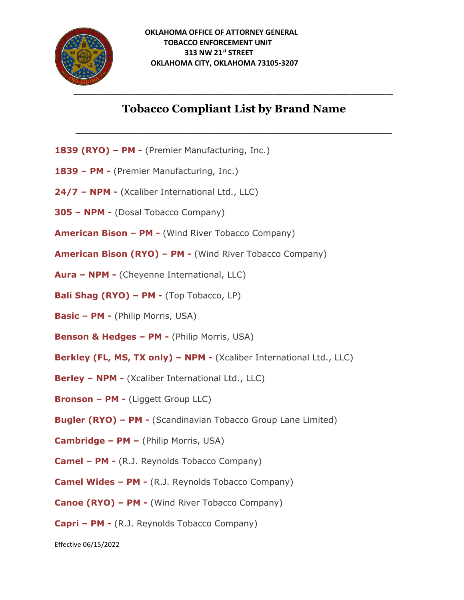

## **Tobacco Compliant List by Brand Name**

**\_\_\_\_\_\_\_\_\_\_\_\_\_\_\_\_\_\_\_\_\_\_\_\_\_\_\_\_\_\_\_\_\_\_\_\_\_\_\_\_\_**

- **1839 (RYO) – PM -** (Premier Manufacturing, Inc.)
- **1839 – PM -** (Premier Manufacturing, Inc.)
- **24/7 – NPM -** (Xcaliber International Ltd., LLC)
- **305 – NPM -** (Dosal Tobacco Company)
- **American Bison – PM -** (Wind River Tobacco Company)
- **American Bison (RYO) – PM -** (Wind River Tobacco Company)
- **Aura – NPM -** (Cheyenne International, LLC)
- **Bali Shag (RYO) – PM -** (Top Tobacco, LP)
- **Basic – PM -** (Philip Morris, USA)
- **Benson & Hedges – PM -** (Philip Morris, USA)
- **Berkley (FL, MS, TX only) – NPM -** (Xcaliber International Ltd., LLC)
- **Berley – NPM -** (Xcaliber International Ltd., LLC)
- **Bronson – PM -** (Liggett Group LLC)
- **Bugler (RYO) – PM -** (Scandinavian Tobacco Group Lane Limited)
- **Cambridge – PM –** (Philip Morris, USA)
- **Camel – PM -** (R.J. Reynolds Tobacco Company)
- **Camel Wides – PM -** (R.J. Reynolds Tobacco Company)
- **Canoe (RYO) – PM -** (Wind River Tobacco Company)
- **Capri – PM -** (R.J. Reynolds Tobacco Company)

Effective 06/15/2022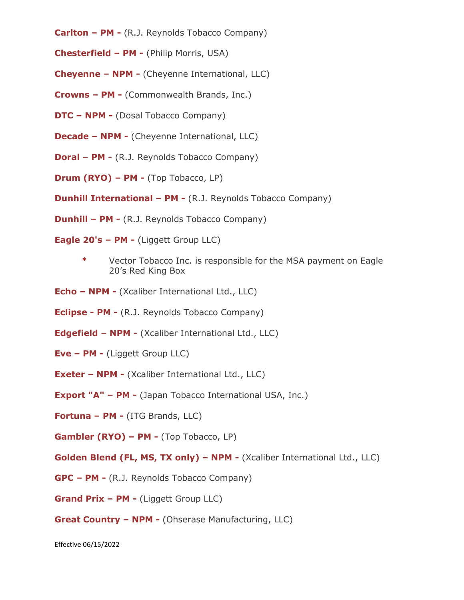- **Carlton – PM -** (R.J. Reynolds Tobacco Company)
- **Chesterfield – PM -** (Philip Morris, USA)
- **Cheyenne – NPM -** (Cheyenne International, LLC)
- **Crowns – PM -** (Commonwealth Brands, Inc.)
- **DTC – NPM -** (Dosal Tobacco Company)
- **Decade – NPM -** (Cheyenne International, LLC)
- **Doral – PM -** (R.J. Reynolds Tobacco Company)
- **Drum (RYO) – PM -** (Top Tobacco, LP)
- **Dunhill International – PM -** (R.J. Reynolds Tobacco Company)
- **Dunhill – PM -** (R.J. Reynolds Tobacco Company)
- **Eagle 20's – PM -** (Liggett Group LLC)
	- \* Vector Tobacco Inc. is responsible for the MSA payment on Eagle 20's Red King Box
- **Echo – NPM -** (Xcaliber International Ltd., LLC)
- **Eclipse - PM -** (R.J. Reynolds Tobacco Company)
- **Edgefield – NPM -** (Xcaliber International Ltd., LLC)
- **Eve – PM -** (Liggett Group LLC)
- **Exeter – NPM -** (Xcaliber International Ltd., LLC)
- **Export "A" – PM -** (Japan Tobacco International USA, Inc.)
- **Fortuna – PM -** (ITG Brands, LLC)
- **Gambler (RYO) – PM -** (Top Tobacco, LP)
- **Golden Blend (FL, MS, TX only) – NPM -** (Xcaliber International Ltd., LLC)
- **GPC – PM -** (R.J. Reynolds Tobacco Company)
- **Grand Prix – PM -** (Liggett Group LLC)
- **Great Country – NPM -** (Ohserase Manufacturing, LLC)

Effective 06/15/2022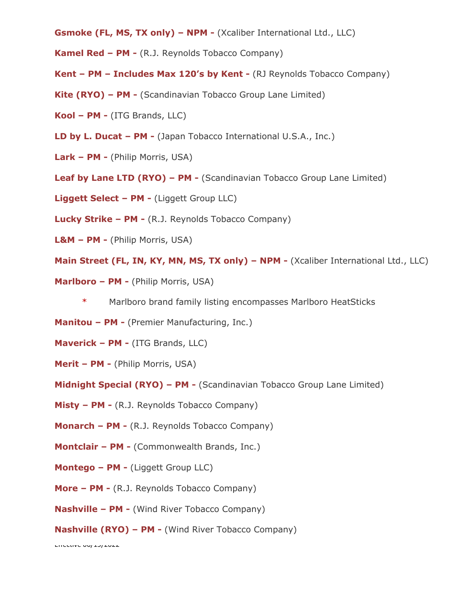- **Gsmoke (FL, MS, TX only) – NPM -** (Xcaliber International Ltd., LLC)
- **Kamel Red – PM -** (R.J. Reynolds Tobacco Company)
- **Kent – PM – Includes Max 120's by Kent -** (RJ Reynolds Tobacco Company)
- **Kite (RYO) – PM -** (Scandinavian Tobacco Group Lane Limited)
- **Kool – PM -** (ITG Brands, LLC)
- **LD by L. Ducat – PM -** (Japan Tobacco International U.S.A., Inc.)
- **Lark – PM -** (Philip Morris, USA)
- **Leaf by Lane LTD (RYO) – PM -** (Scandinavian Tobacco Group Lane Limited)
- **Liggett Select – PM -** (Liggett Group LLC)
- **Lucky Strike – PM -** (R.J. Reynolds Tobacco Company)
- **L&M – PM -** (Philip Morris, USA)
- **Main Street (FL, IN, KY, MN, MS, TX only) – NPM -** (Xcaliber International Ltd., LLC)
- **Marlboro – PM -** (Philip Morris, USA)
	- Marlboro brand family listing encompasses Marlboro HeatSticks
- **Manitou – PM -** (Premier Manufacturing, Inc.)
- **Maverick – PM -** (ITG Brands, LLC)
- **Merit – PM -** (Philip Morris, USA)
- **Midnight Special (RYO) – PM -** (Scandinavian Tobacco Group Lane Limited)
- **Misty – PM -** (R.J. Reynolds Tobacco Company)
- **Monarch – PM -** (R.J. Reynolds Tobacco Company)
- **Montclair – PM -** (Commonwealth Brands, Inc.)
- **Montego – PM -** (Liggett Group LLC)
- **More – PM -** (R.J. Reynolds Tobacco Company)
- **Nashville – PM -** (Wind River Tobacco Company)
- **Nashville (RYO) – PM -** (Wind River Tobacco Company)

Effective 06/15/2022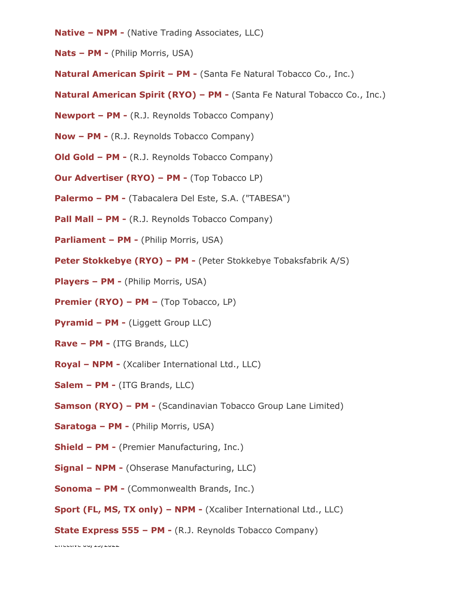- **Native – NPM -** (Native Trading Associates, LLC)
- **Nats – PM -** (Philip Morris, USA)
- **Natural American Spirit – PM -** (Santa Fe Natural Tobacco Co., Inc.)
- **Natural American Spirit (RYO) – PM -** (Santa Fe Natural Tobacco Co., Inc.)
- **Newport – PM -** (R.J. Reynolds Tobacco Company)
- **Now – PM -** (R.J. Reynolds Tobacco Company)
- **Old Gold – PM -** (R.J. Reynolds Tobacco Company)
- **Our Advertiser (RYO) – PM -** (Top Tobacco LP)
- **Palermo – PM -** (Tabacalera Del Este, S.A. ("TABESA")
- **Pall Mall – PM -** (R.J. Reynolds Tobacco Company)
- **Parliament – PM -** (Philip Morris, USA)
- **Peter Stokkebye (RYO) – PM -** (Peter Stokkebye Tobaksfabrik A/S)
- **Players – PM -** (Philip Morris, USA)
- **Premier (RYO) – PM –** (Top Tobacco, LP)
- **Pyramid – PM -** (Liggett Group LLC)
- **Rave – PM -** (ITG Brands, LLC)
- **Royal – NPM -** (Xcaliber International Ltd., LLC)
- **Salem – PM -** (ITG Brands, LLC)
- **Samson (RYO) – PM -** (Scandinavian Tobacco Group Lane Limited)
- **Saratoga – PM -** (Philip Morris, USA)
- **Shield – PM -** (Premier Manufacturing, Inc.)
- **Signal – NPM -** (Ohserase Manufacturing, LLC)
- **Sonoma – PM -** (Commonwealth Brands, Inc.)
- **Sport (FL, MS, TX only) – NPM -** (Xcaliber International Ltd., LLC)
- **State Express 555 – PM -** (R.J. Reynolds Tobacco Company)

 $E$ Fitconve 00/20/2022